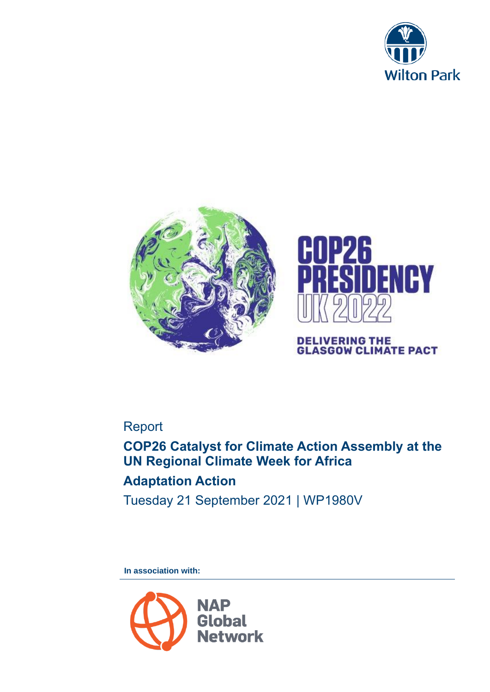





# **DELIVERING THE<br>GLASGOW CLIMATE PACT**

# Report

**COP26 Catalyst for Climate Action Assembly at the UN Regional Climate Week for Africa** 

# **Adaptation Action**

Tuesday 21 September 2021 | WP1980V

**In association with:**

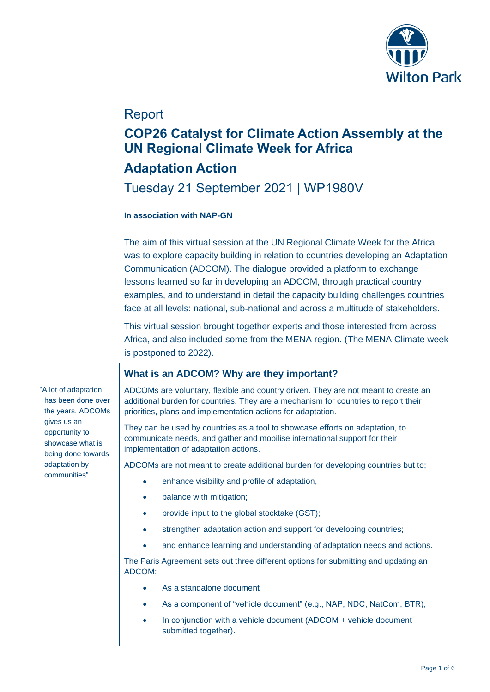

# Report

# **COP26 Catalyst for Climate Action Assembly at the UN Regional Climate Week for Africa**

# **Adaptation Action**

# Tuesday 21 September 2021 | WP1980V

#### **In association with NAP-GN**

The aim of this virtual session at the UN Regional Climate Week for the Africa was to explore capacity building in relation to countries developing an Adaptation Communication (ADCOM). The dialogue provided a platform to exchange lessons learned so far in developing an ADCOM, through practical country examples, and to understand in detail the capacity building challenges countries face at all levels: national, sub-national and across a multitude of stakeholders.

This virtual session brought together experts and those interested from across Africa, and also included some from the MENA region. (The MENA Climate week is postponed to 2022).

## **What is an ADCOM? Why are they important?**

ADCOMs are voluntary, flexible and country driven. They are not meant to create an additional burden for countries. They are a mechanism for countries to report their priorities, plans and implementation actions for adaptation.

They can be used by countries as a tool to showcase efforts on adaptation, to communicate needs, and gather and mobilise international support for their implementation of adaptation actions.

ADCOMs are not meant to create additional burden for developing countries but to;

- enhance visibility and profile of adaptation,
- balance with mitigation;
- provide input to the global stocktake (GST);
- strengthen adaptation action and support for developing countries;
- and enhance learning and understanding of adaptation needs and actions.

The Paris Agreement sets out three different options for submitting and updating an ADCOM:

- As a standalone document
- As a component of "vehicle document" (e.g., NAP, NDC, NatCom, BTR),
- In conjunction with a vehicle document (ADCOM + vehicle document submitted together).

"A lot of adaptation has been done over the years, ADCOMs gives us an opportunity to showcase what is being done towards adaptation by communities"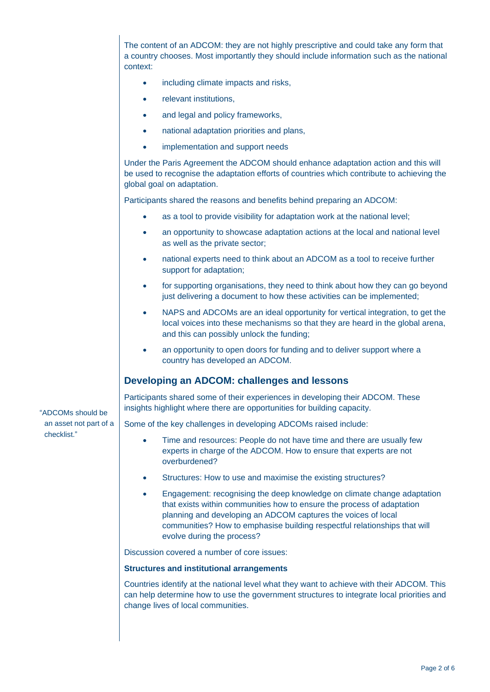The content of an ADCOM: they are not highly prescriptive and could take any form that a country chooses. Most importantly they should include information such as the national context:

- including climate impacts and risks,
- relevant institutions,
- and legal and policy frameworks,
- national adaptation priorities and plans,
- implementation and support needs

Under the Paris Agreement the ADCOM should enhance adaptation action and this will be used to recognise the adaptation efforts of countries which contribute to achieving the global goal on adaptation.

Participants shared the reasons and benefits behind preparing an ADCOM:

- as a tool to provide visibility for adaptation work at the national level;
- an opportunity to showcase adaptation actions at the local and national level as well as the private sector;
- national experts need to think about an ADCOM as a tool to receive further support for adaptation;
- for supporting organisations, they need to think about how they can go beyond just delivering a document to how these activities can be implemented;
- NAPS and ADCOMs are an ideal opportunity for vertical integration, to get the local voices into these mechanisms so that they are heard in the global arena, and this can possibly unlock the funding;
- an opportunity to open doors for funding and to deliver support where a country has developed an ADCOM.

## **Developing an ADCOM: challenges and lessons**

Participants shared some of their experiences in developing their ADCOM. These insights highlight where there are opportunities for building capacity.

Some of the key challenges in developing ADCOMs raised include:

- Time and resources: People do not have time and there are usually few experts in charge of the ADCOM. How to ensure that experts are not overburdened?
- Structures: How to use and maximise the existing structures?
- Engagement: recognising the deep knowledge on climate change adaptation that exists within communities how to ensure the process of adaptation planning and developing an ADCOM captures the voices of local communities? How to emphasise building respectful relationships that will evolve during the process?

Discussion covered a number of core issues:

#### **Structures and institutional arrangements**

Countries identify at the national level what they want to achieve with their ADCOM. This can help determine how to use the government structures to integrate local priorities and change lives of local communities.

"ADCOMs should be an asset not part of a checklist."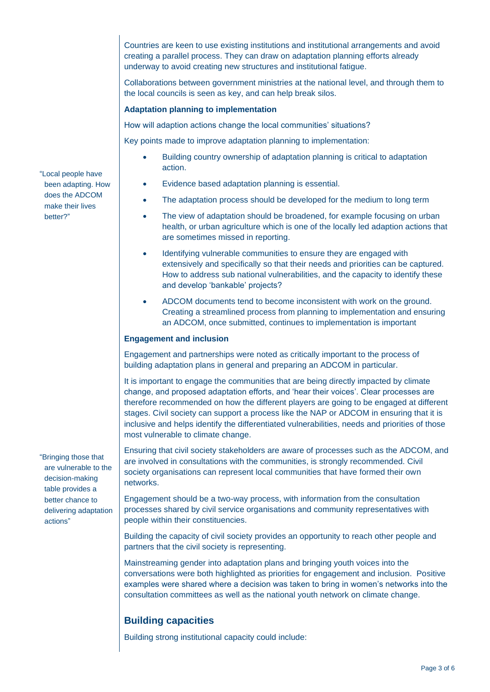Countries are keen to use existing institutions and institutional arrangements and avoid creating a parallel process. They can draw on adaptation planning efforts already underway to avoid creating new structures and institutional fatigue.

Collaborations between government ministries at the national level, and through them to the local councils is seen as key, and can help break silos.

#### **Adaptation planning to implementation**

How will adaption actions change the local communities' situations?

Key points made to improve adaptation planning to implementation:

- Building country ownership of adaptation planning is critical to adaptation action.
- Evidence based adaptation planning is essential.
- The adaptation process should be developed for the medium to long term
- The view of adaptation should be broadened, for example focusing on urban health, or urban agriculture which is one of the locally led adaption actions that are sometimes missed in reporting.
- Identifying vulnerable communities to ensure they are engaged with extensively and specifically so that their needs and priorities can be captured. How to address sub national vulnerabilities, and the capacity to identify these and develop 'bankable' projects?
- ADCOM documents tend to become inconsistent with work on the ground. Creating a streamlined process from planning to implementation and ensuring an ADCOM, once submitted, continues to implementation is important

#### **Engagement and inclusion**

Engagement and partnerships were noted as critically important to the process of building adaptation plans in general and preparing an ADCOM in particular.

It is important to engage the communities that are being directly impacted by climate change, and proposed adaptation efforts, and 'hear their voices'. Clear processes are therefore recommended on how the different players are going to be engaged at different stages. Civil society can support a process like the NAP or ADCOM in ensuring that it is inclusive and helps identify the differentiated vulnerabilities, needs and priorities of those most vulnerable to climate change.

Ensuring that civil society stakeholders are aware of processes such as the ADCOM, and are involved in consultations with the communities, is strongly recommended. Civil society organisations can represent local communities that have formed their own networks.

Engagement should be a two-way process, with information from the consultation processes shared by civil service organisations and community representatives with people within their constituencies.

Building the capacity of civil society provides an opportunity to reach other people and partners that the civil society is representing.

Mainstreaming gender into adaptation plans and bringing youth voices into the conversations were both highlighted as priorities for engagement and inclusion. Positive examples were shared where a decision was taken to bring in women's networks into the consultation committees as well as the national youth network on climate change.

## **Building capacities**

Building strong institutional capacity could include:

"Local people have been adapting. How does the ADCOM make their lives better?"

"Bringing those that are vulnerable to the decision-making table provides a better chance to delivering adaptation actions"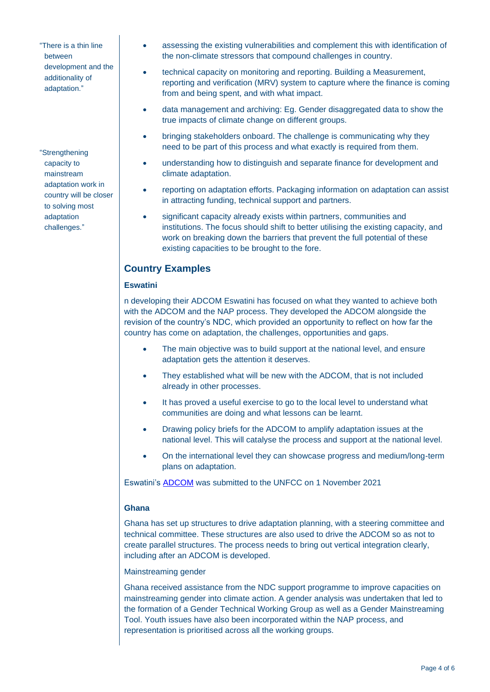- "There is a thin line between development and the additionality of adaptation."
- "Strengthening capacity to mainstream adaptation work in country will be closer to solving most adaptation challenges."
- assessing the existing vulnerabilities and complement this with identification of the non-climate stressors that compound challenges in country.
- technical capacity on monitoring and reporting. Building a Measurement, reporting and verification (MRV) system to capture where the finance is coming from and being spent, and with what impact.
- data management and archiving: Eg. Gender disaggregated data to show the true impacts of climate change on different groups.
- bringing stakeholders onboard. The challenge is communicating why they need to be part of this process and what exactly is required from them.
- understanding how to distinguish and separate finance for development and climate adaptation.
- reporting on adaptation efforts. Packaging information on adaptation can assist in attracting funding, technical support and partners.
- significant capacity already exists within partners, communities and institutions. The focus should shift to better utilising the existing capacity, and work on breaking down the barriers that prevent the full potential of these existing capacities to be brought to the fore.

# **Country Examples**

#### **Eswatini**

n developing their ADCOM Eswatini has focused on what they wanted to achieve both with the ADCOM and the NAP process. They developed the ADCOM alongside the revision of the country's NDC, which provided an opportunity to reflect on how far the country has come on adaptation, the challenges, opportunities and gaps.

- The main objective was to build support at the national level, and ensure adaptation gets the attention it deserves.
- They established what will be new with the ADCOM, that is not included already in other processes.
- It has proved a useful exercise to go to the local level to understand what communities are doing and what lessons can be learnt.
- Drawing policy briefs for the ADCOM to amplify adaptation issues at the national level. This will catalyse the process and support at the national level.
- On the international level they can showcase progress and medium/long-term plans on adaptation.

Eswatini's [ADCOM](https://unfccc.int/sites/default/files/resource/eswatini-climate-change-adaptation-plan-unfccc.pdf) was submitted to the UNFCC on 1 November 2021

#### **Ghana**

Ghana has set up structures to drive adaptation planning, with a steering committee and technical committee. These structures are also used to drive the ADCOM so as not to create parallel structures. The process needs to bring out vertical integration clearly, including after an ADCOM is developed.

#### Mainstreaming gender

Ghana received assistance from the NDC support programme to improve capacities on mainstreaming gender into climate action. A gender analysis was undertaken that led to the formation of a Gender Technical Working Group as well as a Gender Mainstreaming Tool. Youth issues have also been incorporated within the NAP process, and representation is prioritised across all the working groups.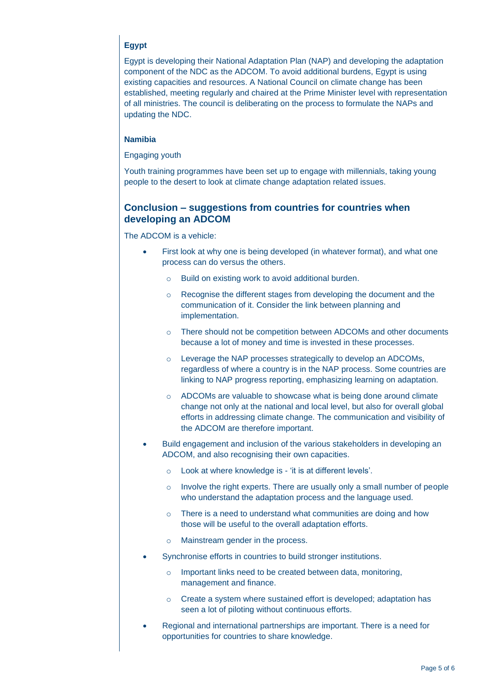### **Egypt**

Egypt is developing their National Adaptation Plan (NAP) and developing the adaptation component of the NDC as the ADCOM. To avoid additional burdens, Egypt is using existing capacities and resources. A National Council on climate change has been established, meeting regularly and chaired at the Prime Minister level with representation of all ministries. The council is deliberating on the process to formulate the NAPs and updating the NDC.

#### **Namibia**

Engaging youth

Youth training programmes have been set up to engage with millennials, taking young people to the desert to look at climate change adaptation related issues.

### **Conclusion – suggestions from countries for countries when developing an ADCOM**

The ADCOM is a vehicle:

- First look at why one is being developed (in whatever format), and what one process can do versus the others.
	- o Build on existing work to avoid additional burden.
	- o Recognise the different stages from developing the document and the communication of it. Consider the link between planning and implementation.
	- o There should not be competition between ADCOMs and other documents because a lot of money and time is invested in these processes.
	- o Leverage the NAP processes strategically to develop an ADCOMs, regardless of where a country is in the NAP process. Some countries are linking to NAP progress reporting, emphasizing learning on adaptation.
	- o ADCOMs are valuable to showcase what is being done around climate change not only at the national and local level, but also for overall global efforts in addressing climate change. The communication and visibility of the ADCOM are therefore important.
- Build engagement and inclusion of the various stakeholders in developing an ADCOM, and also recognising their own capacities.
	- o Look at where knowledge is 'it is at different levels'.
	- o Involve the right experts. There are usually only a small number of people who understand the adaptation process and the language used.
	- o There is a need to understand what communities are doing and how those will be useful to the overall adaptation efforts.
	- o Mainstream gender in the process.
- Synchronise efforts in countries to build stronger institutions.
	- o Important links need to be created between data, monitoring, management and finance.
	- o Create a system where sustained effort is developed; adaptation has seen a lot of piloting without continuous efforts.
- Regional and international partnerships are important. There is a need for opportunities for countries to share knowledge.